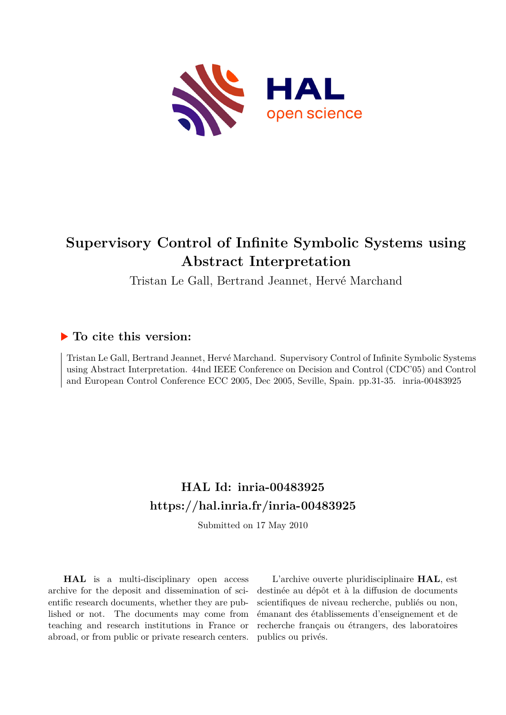

## **Supervisory Control of Infinite Symbolic Systems using Abstract Interpretation**

Tristan Le Gall, Bertrand Jeannet, Hervé Marchand

### **To cite this version:**

Tristan Le Gall, Bertrand Jeannet, Hervé Marchand. Supervisory Control of Infinite Symbolic Systems using Abstract Interpretation. 44nd IEEE Conference on Decision and Control (CDC'05) and Control and European Control Conference ECC 2005, Dec 2005, Seville, Spain. pp.31-35. inria-00483925

## **HAL Id: inria-00483925 <https://hal.inria.fr/inria-00483925>**

Submitted on 17 May 2010

**HAL** is a multi-disciplinary open access archive for the deposit and dissemination of scientific research documents, whether they are published or not. The documents may come from teaching and research institutions in France or abroad, or from public or private research centers.

L'archive ouverte pluridisciplinaire **HAL**, est destinée au dépôt et à la diffusion de documents scientifiques de niveau recherche, publiés ou non, émanant des établissements d'enseignement et de recherche français ou étrangers, des laboratoires publics ou privés.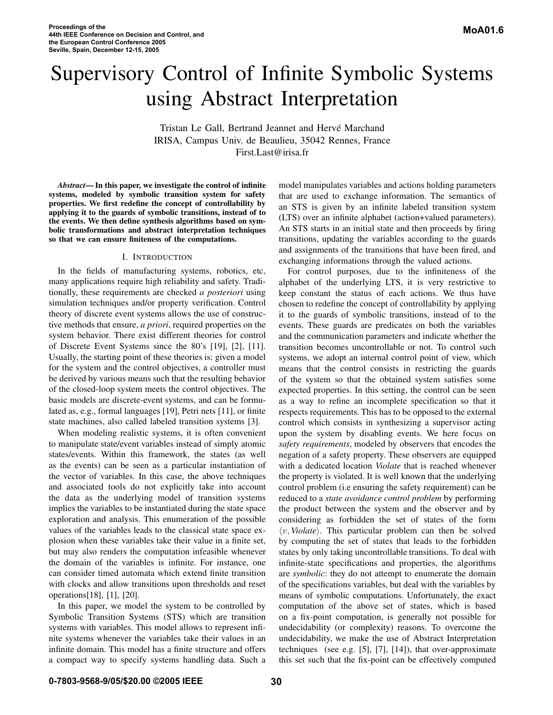# Supervisory Control of Infinite Symbolic Systems using Abstract Interpretation

Tristan Le Gall, Bertrand Jeannet and Hervé Marchand IRISA, Campus Univ. de Beaulieu, 35042 Rennes, France First.Last@irisa.fr

*Abstract***— In this paper, we investigate the control of infinite systems, modeled by symbolic transition system for safety properties. We first redefine the concept of controllability by applying it to the guards of symbolic transitions, instead of to the events. We then define synthesis algorithms based on symbolic transformations and abstract interpretation techniques so that we can ensure finiteness of the computations.**

#### I. INTRODUCTION

In the fields of manufacturing systems, robotics, etc, many applications require high reliability and safety. Traditionally, these requirements are checked *a posteriori* using simulation techniques and/or property verification. Control theory of discrete event systems allows the use of constructive methods that ensure, *a priori*, required properties on the system behavior. There exist different theories for control of Discrete Event Systems since the 80's [19], [2], [11]. Usually, the starting point of these theories is: given a model for the system and the control objectives, a controller must be derived by various means such that the resulting behavior of the closed-loop system meets the control objectives. The basic models are discrete-event systems, and can be formulated as, e.g., formal languages [19], Petri nets [11], or finite state machines, also called labeled transition systems [3].

When modeling realistic systems, it is often convenient to manipulate state/event variables instead of simply atomic states/events. Within this framework, the states (as well as the events) can be seen as a particular instantiation of the vector of variables. In this case, the above techniques and associated tools do not explicitly take into account the data as the underlying model of transition systems implies the variables to be instantiated during the state space exploration and analysis. This enumeration of the possible values of the variables leads to the classical state space explosion when these variables take their value in a finite set, but may also renders the computation infeasible whenever the domain of the variables is infinite. For instance, one can consider timed automata which extend finite transition with clocks and allow transitions upon thresholds and reset operations[18], [1], [20].

In this paper, we model the system to be controlled by Symbolic Transition Systems (STS) which are transition systems with variables. This model allows to represent infinite systems whenever the variables take their values in an infinite domain. This model has a finite structure and offers a compact way to specify systems handling data. Such a

model manipulates variables and actions holding parameters that are used to exchange information. The semantics of an STS is given by an infinite labeled transition system (LTS) over an infinite alphabet (action+valued parameters). An STS starts in an initial state and then proceeds by firing transitions, updating the variables according to the guards and assignments of the transitions that have been fired, and exchanging informations through the valued actions.

For control purposes, due to the infiniteness of the alphabet of the underlying LTS, it is very restrictive to keep constant the status of each actions. We thus have chosen to redefine the concept of controllability by applying it to the guards of symbolic transitions, instead of to the events. These guards are predicates on both the variables and the communication parameters and indicate whether the transition becomes uncontrollable or not. To control such systems, we adopt an internal control point of view, which means that the control consists in restricting the guards of the system so that the obtained system satisfies some expected properties. In this setting, the control can be seen as a way to refine an incomplete specification so that it respects requirements. This has to be opposed to the external control which consists in synthesizing a supervisor acting upon the system by disabling events. We here focus on *safety requirements*, modeled by observers that encodes the negation of a safety property. These observers are equipped with a dedicated location *Violate* that is reached whenever the property is violated. It is well known that the underlying control problem (i.e ensuring the safety requirement) can be reduced to a *state avoidance control problem* by performing the product between the system and the observer and by considering as forbidden the set of states of the form  $\langle v, \textit{Violate} \rangle$ . This particular problem can then be solved<br>by computing the set of states that leads to the forbidden by computing the set of states that leads to the forbidden states by only taking uncontrollable transitions. To deal with infinite-state specifications and properties, the algorithms are *symbolic*: they do not attempt to enumerate the domain of the specifications variables, but deal with the variables by means of symbolic computations. Unfortunately, the exact computation of the above set of states, which is based on a fix-point computation, is generally not possible for undecidability (or complexity) reasons. To overcome the undecidability, we make the use of Abstract Interpretation techniques (see e.g. [5], [7], [14]), that over-approximate this set such that the fix-point can be effectively computed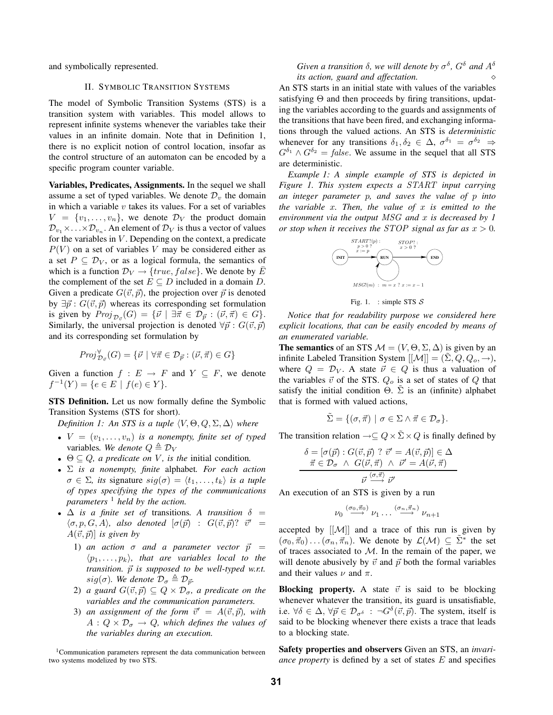and symbolically represented.

#### II. SYMBOLIC TRANSITION SYSTEMS

The model of Symbolic Transition Systems (STS) is a transition system with variables. This model allows to represent infinite systems whenever the variables take their values in an infinite domain. Note that in Definition 1, there is no explicit notion of control location, insofar as the control structure of an automaton can be encoded by a specific program counter variable.

**Variables, Predicates, Assignments.** In the sequel we shall assume a set of typed variables. We denote  $\mathcal{D}_v$  the domain in which a variable  $v$  takes its values. For a set of variables  $V = \{v_1, \ldots, v_n\}$ , we denote  $\mathcal{D}_V$  the product domain  $\mathcal{D}_{v_1} \times \ldots \times \mathcal{D}_{v_n}$ . An element of  $\mathcal{D}_V$  is thus a vector of values for the variables in  $V$ . Depending on the context, a predicate  $P(V)$  on a set of variables V may be considered either as a set  $P \subseteq \mathcal{D}_V$ , or as a logical formula, the semantics of which is a function  $\mathcal{D}_V \to \{true, false\}$ . We denote by E the complement of the set  $E \subseteq D$  included in a domain D. Given a predicate  $G(\vec{v}, \vec{p})$ , the projection over  $\vec{p}$  is denoted by  $\exists \vec{p}$ :  $G(\vec{v}, \vec{p})$  whereas its corresponding set formulation is given by  $Proj_{\mathcal{D}_{\vec{\tau}}}(\mathcal{G}) = {\{\vec{\nu} \mid \exists \vec{\pi} \in \mathcal{D}_{\vec{p}} : (\vec{\nu}, \vec{\pi}) \in \mathcal{G}\}}.$ Similarly, the universal projection is denoted  $\forall \vec{p} : G(\vec{v}, \vec{p})$ and its corresponding set formulation by

$$
Proj_{\mathcal{D}_{\vec{v}}}(G) = \{ \vec{\nu} \mid \forall \vec{\pi} \in \mathcal{D}_{\vec{p}} : (\vec{\nu}, \vec{\pi}) \in G \}
$$

Given a function  $f : E \to F$  and  $Y \subseteq F$ , we denote  $f^{-1}(Y) = \{e \in E \mid f(e) \in Y\}.$ 

**STS Definition.** Let us now formally define the Symbolic Transition Systems (STS for short).

*Definition 1: An STS is a tuple*  $\langle V, \Theta, Q, \Sigma, \Delta \rangle$  where

- $V = (v_1, \ldots, v_n)$  *is a nonempty, finite set of typed* variables. We denote  $Q \triangleq \mathcal{D}_V$
- $\Theta \subseteq Q$ , *a predicate on V*, *is the initial condition.*
- Σ *is a nonempty, finite* alphabet*. For each action*  $\sigma \in \Sigma$ , its signature  $sig(\sigma) = \langle t_1, \ldots, t_k \rangle$  is a tuple<br>of types specifying the types of the communications *of types specifying the types of the communications parameters* <sup>1</sup> *held by the action.*
- $\Delta$  *is a finite set of transitions. A transition*  $\delta$  =  $\langle \sigma, p, G, A \rangle$ <br>  $A(\vec{u}, \vec{n})$  is *, also denoted*  $[\sigma(\vec{p}) : G(\vec{v}, \vec{p})]$ ?  $\vec{v}' =$ <br>*given* by  $A(\vec{v}, \vec{p})$  *is given by* 
	- 1) *an action*  $\sigma$  *and a parameter vector*  $\vec{p}$  =  $\langle p_1, \ldots, p_k \rangle$ , that are variables local to the transition  $\vec{p}$  is supposed to be well-typed w.r.t. *transition.*  $\vec{p}$  *is supposed to be well-typed w.r.t.*  $sig(\sigma)$ *. We denote*  $\mathcal{D}_{\sigma} \triangleq \mathcal{D}_{\vec{p}}$ *.*
	- 2) *a guard*  $G(\vec{v}, \vec{p}) \subseteq Q \times D_{\sigma}$ , *a predicate on the variables and the communication parameters.*
	- 3) an assignment of the form  $\vec{v}' = A(\vec{v}, \vec{p})$ , with<br>  $A \cdot O \times D \longrightarrow O$  which defines the values of  $A: Q \times \mathcal{D}_{\sigma} \rightarrow Q$ , which defines the values of *the variables during an execution.*

1Communication parameters represent the data communication between two systems modelized by two STS.

Given a transition 
$$
\delta
$$
, we will denote by  $\sigma^{\delta}$ ,  $G^{\delta}$  and  $A^{\delta}$  its action, guard and afflection.

An STS starts in an initial state with values of the variables satisfying  $\Theta$  and then proceeds by firing transitions, updating the variables according to the guards and assignments of the transitions that have been fired, and exchanging informations through the valued actions. An STS is *deterministic* whenever for any transitions  $\delta_1, \delta_2 \in \Delta$ ,  $\sigma^{\delta_1} = \sigma^{\delta_2} \Rightarrow$  $G^{\delta_1} \wedge G^{\delta_2} = false$ . We assume in the sequel that all STS are deterministic.

*Example 1: A simple example of STS is depicted in Figure 1. This system expects a* START *input carrying an integer parameter* p*, and saves the value of* p *into the variable* x*. Then, the value of* x *is emitted to the environment via the output* MSG *and* x *is decreased by 1 or stop when it receives the STOP signal as far as*  $x > 0$ *.* 



Fig. 1. : simple STS  $S$ 

*Notice that for readability purpose we considered here explicit locations, that can be easily encoded by means of an enumerated variable.*

**The semantics** of an STS  $M = (V, \Theta, \Sigma, \Delta)$  is given by an infinite Labeled Transition System  $[[\mathcal{M}]] = (\Sigma, Q, Q_o, \rightarrow),$ where  $Q = \mathcal{D}_V$ . A state  $\vec{\nu} \in Q$  is thus a valuation of the variables  $\vec{v}$  of the STS.  $Q_o$  is a set of states of  $Q$  that satisfy the initial condition  $\Theta$ .  $\tilde{\Sigma}$  is an (infinite) alphabet that is formed with valued actions,

$$
\tilde{\Sigma} = \{(\sigma, \vec{\pi}) \mid \sigma \in \Sigma \wedge \vec{\pi} \in \mathcal{D}_{\sigma}\}.
$$

The transition relation  $\rightarrow \subseteq Q \times \Sigma \times Q$  is finally defined by

$$
\delta = [\sigma(\vec{p}) : G(\vec{v}, \vec{p}) ? \ \vec{v}' = A(\vec{v}, \vec{p})] \in \Delta
$$

$$
\vec{\pi} \in \mathcal{D}_{\sigma} \ \wedge \ G(\vec{v}, \vec{\pi}) \ \wedge \ \vec{v}' = A(\vec{v}, \vec{\pi})
$$

$$
\vec{v} \stackrel{\langle \sigma, \vec{\pi} \rangle}{\sim} \vec{v}'
$$

 $\vec{v} \stackrel{\langle \sigma, \vec{\pi} \rangle}{\longrightarrow} \vec{v}'$ <br>An execution of an STS is given by a run

$$
\nu_0 \stackrel{(\sigma_0, \vec{\pi}_0)}{\longrightarrow} \nu_1 \dots \stackrel{(\sigma_n, \vec{\pi}_n)}{\longrightarrow} \nu_{n+1}
$$

accepted by  $[[M]]$  and a trace of this run is given by  $(\sigma_0, \vec{\pi}_0) \dots (\sigma_n, \vec{\pi}_n)$ . We denote by  $\mathcal{L}(\mathcal{M}) \subseteq \tilde{\Sigma}^*$  the set of traces associated to  $M$ . In the remain of the paper, we will denote abusively by  $\vec{v}$  and  $\vec{p}$  both the formal variables and their values  $\nu$  and  $\pi$ .

**Blocking property.** A state  $\vec{v}$  is said to be blocking whenever whatever the transition, its guard is unsatisfiable, i.e.  $\forall \delta \in \Delta$ ,  $\forall \vec{p} \in \mathcal{D}_{\sigma^{\delta}}$ :  $\neg G^{\delta}(\vec{v}, \vec{p})$ . The system, itself is said to be blocking whenever there exists a trace that leads to a blocking state.

**Safety properties and observers** Given an STS, an *invariance property* is defined by a set of states E and specifies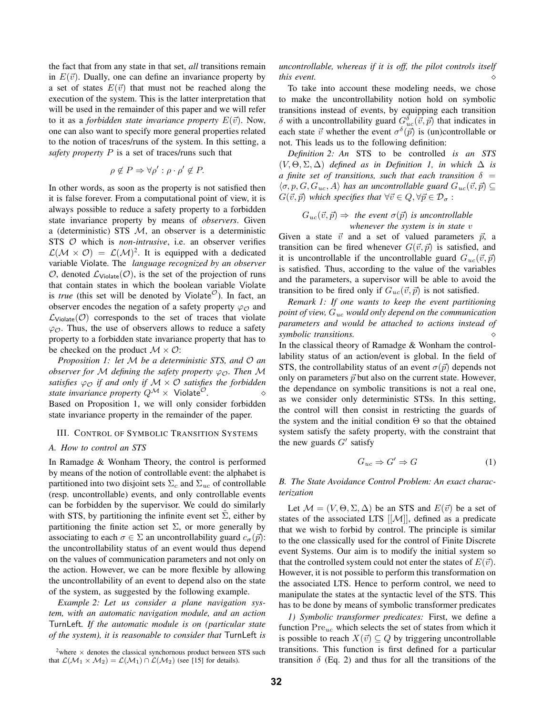the fact that from any state in that set, *all* transitions remain in  $E(\vec{v})$ . Dually, one can define an invariance property by a set of states  $E(\vec{v})$  that must not be reached along the execution of the system. This is the latter interpretation that will be used in the remainder of this paper and we will refer to it as a *forbidden state invariance property*  $E(\vec{v})$ . Now, one can also want to specify more general properties related to the notion of traces/runs of the system. In this setting, a *safety property* P is a set of traces/runs such that

$$
\rho \notin P \Rightarrow \forall \rho' : \rho \cdot \rho' \notin P.
$$

In other words, as soon as the property is not satisfied then it is false forever. From a computational point of view, it is always possible to reduce a safety property to a forbidden state invariance property by means of *observers*. Given a (deterministic) STS  $M$ , an observer is a deterministic STS  $O$  which is *non-intrusive*, i.e. an observer verifies  $\mathcal{L}(\mathcal{M}\times\mathcal{O}) = \mathcal{L}(\mathcal{M})^2$ . It is equipped with a dedicated variable Violate. The *language recognized by an observer*  $\mathcal{O}$ , denoted  $\mathcal{L}_{\text{Violate}}(\mathcal{O})$ , is the set of the projection of runs that contain states in which the boolean variable Violate is *true* (this set will be denoted by Violate<sup> $O$ </sup>). In fact, an observer encodes the negation of a safety property  $\varphi_{\mathcal{O}}$  and  $\mathcal{L}_{\text{Violet}}(\mathcal{O})$  corresponds to the set of traces that violate  $\varphi_{\mathcal{O}}$ . Thus, the use of observers allows to reduce a safety property to a forbidden state invariance property that has to be checked on the product  $\mathcal{M} \times \mathcal{O}$ :

*Proposition 1: let* M *be a deterministic STS, and* O *an observer for* M *defining the safety property*  $\varphi_{\mathcal{O}}$ *. Then* M *satisfies*  $\varphi_{\mathcal{O}}$  *if and only if*  $M \times \mathcal{O}$  *satisfies the forbidden state invariance property*  $Q^{\mathcal{M}} \times$  Violate<sup> $\mathcal{O}$ </sup>. Based on Proposition 1, we will only consider forbidden state invariance property in the remainder of the paper.

#### III. CONTROL OF SYMBOLIC TRANSITION SYSTEMS

#### *A. How to control an STS*

In Ramadge & Wonham Theory, the control is performed by means of the notion of controllable event: the alphabet is partitioned into two disjoint sets  $\Sigma_c$  and  $\Sigma_{uc}$  of controllable (resp. uncontrollable) events, and only controllable events can be forbidden by the supervisor. We could do similarly with STS, by partitioning the infinite event set  $\Sigma$ , either by partitioning the finite action set  $\Sigma$ , or more generally by associating to each  $\sigma \in \Sigma$  an uncontrollability guard  $c_{\sigma}(\vec{p})$ : the uncontrollability status of an event would thus depend on the values of communication parameters and not only on the action. However, we can be more flexible by allowing the uncontrollability of an event to depend also on the state of the system, as suggested by the following example.

*Example 2: Let us consider a plane navigation system, with an automatic navigation module, and an action* TurnLeft*. If the automatic module is on (particular state of the system), it is reasonable to consider that* TurnLeft *is* *uncontrollable, whereas if it is off, the pilot controls itself this event.*

To take into account these modeling needs, we chose to make the uncontrollability notion hold on symbolic transitions instead of events, by equipping each transition δ with a uncontrollability guard  $G_{uc}^{\delta}(\vec{v}, \vec{p})$  that indicates in each state  $\vec{v}$  whether the event  $\sigma^{\delta}(\vec{v})$  is (un)controllable or each state  $\vec{v}$  whether the event  $\sigma^{\delta}(\vec{p})$  is (un)controllable or not. This leads us to the following definition:

*Definition 2: An* STS to be controlled *is an STS*  $(V, \Theta, \Sigma, \Delta)$  *defined as in Definition 1, in which*  $\Delta$  *is a finite set of transitions, such that each transition*  $\delta$  =  $\langle \sigma, p, G, G_{uc}, A \rangle$  has an uncontrollable guard  $G_{uc}(\vec{v}, \vec{p}) \subseteq$ <br> $G(\vec{v}, \vec{p})$  which specifies that  $\forall \vec{v} \in \Omega$   $\forall \vec{v} \in \mathcal{D}$ .  $G(\vec{v}, \vec{p})$  *which specifies that*  $\forall \vec{v} \in Q, \forall \vec{p} \in \mathcal{D}_{\sigma}$ :

$$
G_{uc}(\vec{v}, \vec{p}) \Rightarrow
$$
 the event  $\sigma(\vec{p})$  is uncontrollable  
whenever the system is in state v  
a state  $\vec{v}$  and a set of valued parameters

Given a state  $\vec{v}$  and a set of valued parameters  $\vec{p}$ , a transition can be fired whenever  $C(\vec{v}, \vec{p})$  is satisfied and transition can be fired whenever  $G(\vec{v}, \vec{p})$  is satisfied, and it is uncontrollable if the uncontrollable guard  $G_{uc}(\vec{v}, \vec{p})$ is satisfied. Thus, according to the value of the variables and the parameters, a supervisor will be able to avoid the transition to be fired only if  $G_{uc}(\vec{v}, \vec{p})$  is not satisfied.

*Remark 1: If one wants to keep the event partitioning point of view,* <sup>G</sup>uc *would only depend on the communication parameters and would be attached to actions instead of symbolic transitions.*

In the classical theory of Ramadge & Wonham the controllability status of an action/event is global. In the field of STS, the controllability status of an event  $\sigma(\vec{p})$  depends not only on parameters  $\vec{p}$  but also on the current state. However, the dependance on symbolic transitions is not a real one, as we consider only deterministic STSs. In this setting, the control will then consist in restricting the guards of the system and the initial condition  $\Theta$  so that the obtained system satisfy the safety property, with the constraint that the new guards  $G'$  satisfy

$$
G_{uc} \Rightarrow G' \Rightarrow G \tag{1}
$$

*B. The State Avoidance Control Problem: An exact characterization*

Let  $M = (V, \Theta, \Sigma, \Delta)$  be an STS and  $E(\vec{v})$  be a set of states of the associated LTS  $[[\mathcal{M}]]$ , defined as a predicate that we wish to forbid by control. The principle is similar to the one classically used for the control of Finite Discrete event Systems. Our aim is to modify the initial system so that the controlled system could not enter the states of  $E(\vec{v})$ . However, it is not possible to perform this transformation on the associated LTS. Hence to perform control, we need to manipulate the states at the syntactic level of the STS. This has to be done by means of symbolic transformer predicates

*1) Symbolic transformer predicates:* First, we define a function  $Pre_{uc}$  which selects the set of states from which it is possible to reach  $X(\vec{v}) \subseteq Q$  by triggering uncontrollable transitions. This function is first defined for a particular transition  $\delta$  (Eq. 2) and thus for all the transitions of the

<sup>&</sup>lt;sup>2</sup>where  $\times$  denotes the classical synchornous product between STS such that  $\mathcal{L}(\mathcal{M}_1 \times \mathcal{M}_2) = \mathcal{L}(\mathcal{M}_1) \cap \mathcal{L}(\mathcal{M}_2)$  (see [15] for details).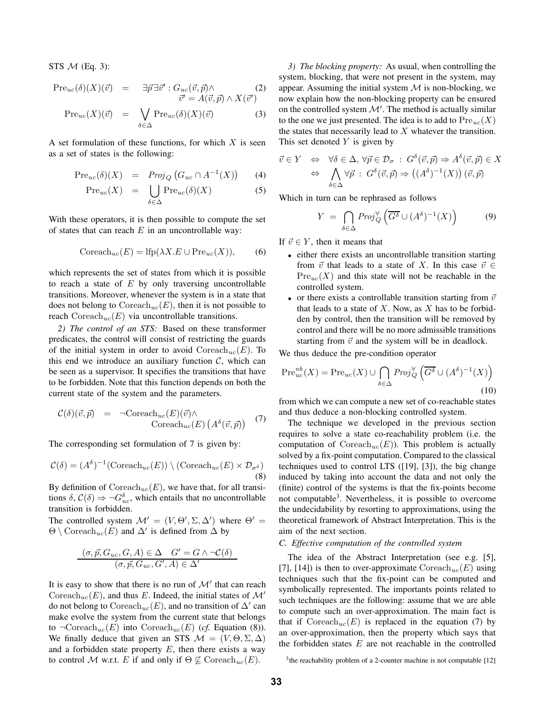STS  $M$  (Eq. 3):

$$
\text{Pre}_{uc}(\delta)(X)(\vec{v}) = \exists \vec{p} \exists \vec{v}' : G_{uc}(\vec{v}, \vec{p}) \wedge (2) \vec{v}' = A(\vec{v}, \vec{p}) \wedge X(\vec{v}')
$$

$$
\operatorname{Pre}_{uc}(X)(\vec{v}) = \bigvee_{\delta \in \Delta} \operatorname{Pre}_{uc}(\delta)(X)(\vec{v}) \tag{3}
$$

A set formulation of these functions, for which  $X$  is seen as a set of states is the following:

$$
\operatorname{Pre}_{uc}(\delta)(X) = \operatorname{Proj}_Q \left( G_{uc} \cap A^{-1}(X) \right) \tag{4}
$$

$$
\text{Pre}_{uc}(X) = \bigcup_{\delta \in \Delta} \text{Pre}_{uc}(\delta)(X) \tag{5}
$$

With these operators, it is then possible to compute the set of states that can reach  $E$  in an uncontrollable way:

$$
Coreach_{uc}(E) = \text{lfp}(\lambda X.E \cup \text{Pre}_{uc}(X)), \quad (6)
$$

which represents the set of states from which it is possible to reach a state of  $E$  by only traversing uncontrollable transitions. Moreover, whenever the system is in a state that does not belong to  $\text{Coreach}_{uc}(E)$ , then it is not possible to reach  $\text{Coreach}_{uc}(E)$  via uncontrollable transitions.

*2) The control of an STS:* Based on these transformer predicates, the control will consist of restricting the guards of the initial system in order to avoid  $\mathrm{Coreach}_{uc}(E)$ . To this end we introduce an auxiliary function  $C$ , which can be seen as a supervisor. It specifies the transitions that have to be forbidden. Note that this function depends on both the current state of the system and the parameters.

$$
\mathcal{C}(\delta)(\vec{v}, \vec{p}) = \neg \text{Coreach}_{uc}(E)(\vec{v}) \wedge \text{Coreach}_{uc}(E) \left( A^{\delta}(\vec{v}, \vec{p}) \right) \tag{7}
$$

The corresponding set formulation of 7 is given by:

$$
\mathcal{C}(\delta) = (A^{\delta})^{-1}(\text{Coreach}_{uc}(E)) \setminus (\text{Coreach}_{uc}(E) \times \mathcal{D}_{\sigma^{\delta}})
$$
\n(8)

By definition of  $\text{Coreach}_{uc}(E)$ , we have that, for all transitions  $\delta$ ,  $C(\delta) \Rightarrow \neg G_{uc}^{\delta}$ , which entails that no uncontrollable transition is forbidden transition is forbidden.

The controlled system  $\mathcal{M}' = (V, \Theta', \Sigma, \Delta')$  where  $\Theta' = \Theta \setminus$  Coreach  $(F)$  and  $\Delta'$  is defined from  $\Delta$  by  $\Theta \setminus \text{Coreach}_{uc}(E)$  and  $\Delta'$  is defined from  $\Delta$  by

$$
\frac{(\sigma, \vec{p}, G_{uc}, G, A) \in \Delta \quad G' = G \land \neg \mathcal{C}(\delta)}{(\sigma, \vec{p}, G_{uc}, G', A) \in \Delta'}
$$

It is easy to show that there is no run of  $\mathcal{M}'$  that can reach Coreach<sub>uc</sub>(E), and thus E. Indeed, the initial states of M'<br>do not belong to Coreach (E) and no transition of  $\Lambda'$  can do not belong to Coreach<sub>uc</sub>(E), and no transition of  $\Delta'$  can<br>make evolve the system from the current state that belongs make evolve the system from the current state that belongs to  $\neg$ Coreach<sub>uc</sub>(E) into Coreach<sub>uc</sub>(E) (*cf.* Equation (8)). We finally deduce that given an STS  $\mathcal{M} = (V, \Theta, \Sigma, \Delta)$ and a forbidden state property  $E$ , then there exists a way to control M w.r.t. E if and only if  $\Theta \nsubseteq \text{Coreach}_{uc}(E)$ .

*3) The blocking property:* As usual, when controlling the system, blocking, that were not present in the system, may appear. Assuming the initial system  $M$  is non-blocking, we now explain how the non-blocking property can be ensured on the controlled system  $\mathcal{M}'$ . The method is actually similar to the one we just presented. The idea is to add to  $Pre_{uc}(X)$ the states that necessarily lead to  $X$  whatever the transition. This set denoted  $Y$  is given by

$$
\vec{v} \in Y \Leftrightarrow \forall \delta \in \Delta, \forall \vec{p} \in \mathcal{D}_{\sigma} : G^{\delta}(\vec{v}, \vec{p}) \Rightarrow A^{\delta}(\vec{v}, \vec{p}) \in X
$$

$$
\Leftrightarrow \bigwedge_{\delta \in \Delta} \forall \vec{p} : G^{\delta}(\vec{v}, \vec{p}) \Rightarrow ((A^{\delta})^{-1}(X)) (\vec{v}, \vec{p})
$$

Which in turn can be rephrased as follows

$$
Y = \bigcap_{\delta \in \Delta} \text{Proj}_{Q}^{\forall} \left( \overline{G^{\delta}} \cup (A^{\delta})^{-1}(X) \right) \tag{9}
$$

If  $\vec{v} \in Y$ , then it means that

- either there exists an uncontrollable transition starting from  $\vec{v}$  that leads to a state of X. In this case  $\vec{v} \in$  $Pre_{uc}(X)$  and this state will not be reachable in the controlled system.
- or there exists a controllable transition starting from  $\vec{v}$ that leads to a state of  $X$ . Now, as  $X$  has to be forbidden by control, then the transition will be removed by control and there will be no more admissible transitions starting from  $\vec{v}$  and the system will be in deadlock.

We thus deduce the pre-condition operator

$$
\operatorname{Pre}_{uc}^{nb}(X) = \operatorname{Pre}_{uc}(X) \cup \bigcap_{\delta \in \Delta} \operatorname{Proj}_{Q}^{\forall} \left( \overline{G^{\delta}} \cup (A^{\delta})^{-1}(X) \right)
$$
\n(10)

from which we can compute a new set of co-reachable states and thus deduce a non-blocking controlled system.

The technique we developed in the previous section requires to solve a state co-reachability problem (i.e. the computation of  $\text{Coreach}_{uc}(E)$ ). This problem is actually solved by a fix-point computation. Compared to the classical techniques used to control LTS ([19], [3]), the big change induced by taking into account the data and not only the (finite) control of the systems is that the fix-points become not computable<sup>3</sup>. Nevertheless, it is possible to overcome the undecidability by resorting to approximations, using the theoretical framework of Abstract Interpretation. This is the aim of the next section.

#### *C. Effective computation of the controlled system*

The idea of the Abstract Interpretation (see e.g. [5], [7], [14]) is then to over-approximate  $\text{Coreach}_{uc}(E)$  using techniques such that the fix-point can be computed and symbolically represented. The importants points related to such techniques are the following: assume that we are able to compute such an over-approximation. The main fact is that if  $\text{Coreach}_{uc}(E)$  is replaced in the equation (7) by an over-approximation, then the property which says that the forbidden states  $E$  are not reachable in the controlled

<sup>3</sup>the reachability problem of a 2-counter machine is not computable [12]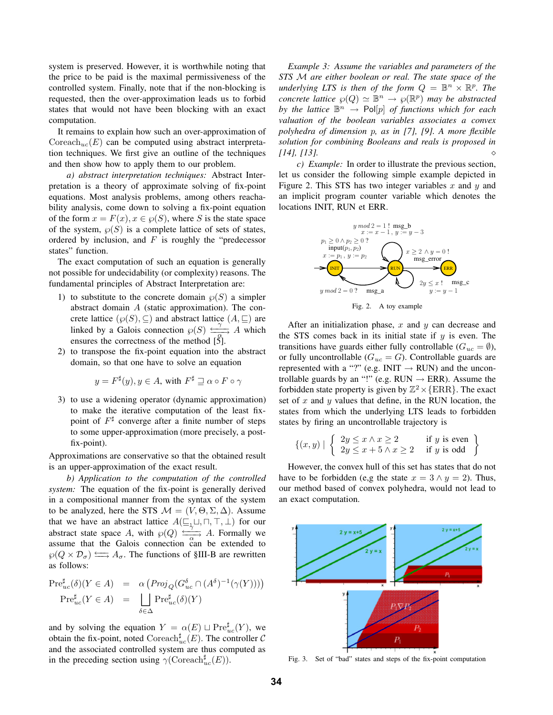system is preserved. However, it is worthwhile noting that the price to be paid is the maximal permissiveness of the controlled system. Finally, note that if the non-blocking is requested, then the over-approximation leads us to forbid states that would not have been blocking with an exact computation.

It remains to explain how such an over-approximation of  $\text{Coreach}_{uc}(E)$  can be computed using abstract interpretation techniques. We first give an outline of the techniques and then show how to apply them to our problem.

*a) abstract interpretation techniques:* Abstract Interpretation is a theory of approximate solving of fix-point equations. Most analysis problems, among others reachability analysis, come down to solving a fix-point equation of the form  $x = F(x), x \in \wp(S)$ , where S is the state space of the system,  $\varphi(S)$  is a complete lattice of sets of states, ordered by inclusion, and  $F$  is roughly the "predecessor states" function.

The exact computation of such an equation is generally not possible for undecidability (or complexity) reasons. The fundamental principles of Abstract Interpretation are:

- 1) to substitute to the concrete domain  $\wp(S)$  a simpler abstract domain A (static approximation). The concrete lattice ( $\wp(S), \subseteq$ ) and abstract lattice  $(A, \sqsubseteq)$  are linked by a Galois connection  $\wp(S) \xrightarrow{\gamma} A$  which ensures the correctness of the method  $\int_{0}^{\alpha}$ .
- 2) to transpose the fix-point equation into the abstract domain, so that one have to solve an equation

$$
y = F^{\sharp}(y), y \in A, \text{ with } F^{\sharp} \supseteq \alpha \circ F \circ \gamma
$$

3) to use a widening operator (dynamic approximation) to make the iterative computation of the least fixpoint of  $F^{\sharp}$  converge after a finite number of steps to some upper-approximation (more precisely, a postfix-point).

Approximations are conservative so that the obtained result is an upper-approximation of the exact result.

*b) Application to the computation of the controlled system:* The equation of the fix-point is generally derived in a compositional manner from the syntax of the system to be analyzed, here the STS  $\mathcal{M} = (V, \Theta, \Sigma, \Delta)$ . Assume that we have an abstract lattice  $A(\sqsubseteq_{\scriptscriptstyle{\lambda}} \sqcup, \sqcap, \top, \bot)$  for our abstract state space A, with  $\wp(Q) \stackrel{\longleftrightarrow}{\longrightarrow} A$ . Formally we<br>assume that the Galois connection can be extended to assume that the Galois connection can be extended to  $\wp(Q \times \mathcal{D}_{\sigma}) \longrightarrow A_{\sigma}$ . The functions of §III-B are rewritten as follows: as follows:

$$
\begin{array}{rcl}\n\operatorname{Pre}_{uc}^{\sharp}(\delta)(Y \in A) & = & \alpha \left( \operatorname{Proj}_{Q} (G_{uc}^{\delta} \cap (A^{\delta})^{-1}(\gamma(Y))) \right) \\
\operatorname{Pre}_{uc}^{\sharp}(Y \in A) & = & \bigsqcup_{\delta \in \Delta} \operatorname{Pre}_{uc}^{\sharp}(\delta)(Y)\n\end{array}
$$

and by solving the equation  $Y = \alpha(E) \sqcup \text{Pre}_{uc}^{\sharp}(Y)$ , we obtain the fix-point noted Coreach<sup>#</sup> (E). The controller C obtain the fix-point, noted Coreach<sup>#</sup><sub>uc</sub> $(E)$ . The controller  $\mathcal C$ <br>and the associated controlled system are thus computed as and the associated controlled system are thus computed as in the preceding section using  $\gamma(\text{Coreach}_{uc}^{\sharp}(E)).$ 

*Example 3: Assume the variables and parameters of the STS* M *are either boolean or real. The state space of the underlying LTS is then of the form*  $Q = \mathbb{B}^n \times \mathbb{R}^p$ . The *concrete lattice*  $\wp(Q) \simeq \mathbb{B}^n \to \wp(\mathbb{R}^p)$  *may be abstracted by the lattice*  $\mathbb{B}^n \to \text{Pol}[p]$  *of functions which for each valuation of the boolean variables associates a convex polyhedra of dimension* p*, as in [7], [9]. A more flexible solution for combining Booleans and reals is proposed in [14], [13].*

*c) Example:* In order to illustrate the previous section, let us consider the following simple example depicted in Figure 2. This STS has two integer variables x and  $y$  and an implicit program counter variable which denotes the locations INIT, RUN et ERR.



Fig. 2. A toy example

After an initialization phase,  $x$  and  $y$  can decrease and the STS comes back in its initial state if  $y$  is even. The transitions have guards either fully controllable ( $G_{uc} = \emptyset$ ), or fully uncontrollable  $(G_{uc} = G)$ . Controllable guards are represented with a "?" (e.g. INIT  $\rightarrow$  RUN) and the uncontrollable guards by an "!" (e.g. RUN  $\rightarrow$  ERR). Assume the forbidden state property is given by  $\mathbb{Z}^2 \times \{ \text{ERR} \}$ . The exact set of  $x$  and  $y$  values that define, in the RUN location, the states from which the underlying LTS leads to forbidden states by firing an uncontrollable trajectory is

$$
\{(x,y) \mid \begin{cases} 2y \le x \land x \ge 2 \\ 2y \le x+5 \land x \ge 2 \end{cases} \text{ if } y \text{ is even } \begin{cases} 2y \le x \land x \ge 2 \\ 1 \text{ if } y \text{ is odd} \end{cases}
$$

However, the convex hull of this set has states that do not have to be forbidden (e,g the state  $x = 3 \land y = 2$ ). Thus, our method based of convex polyhedra, would not lead to an exact computation.



Fig. 3. Set of "bad" states and steps of the fix-point computation